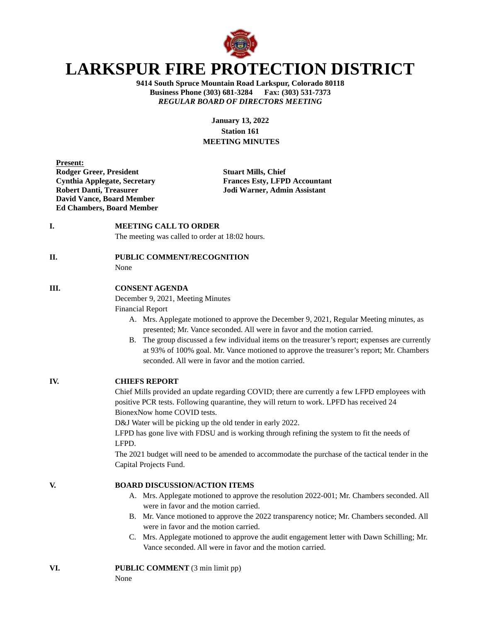

# **LARKSPUR FIRE PROTECTION DISTRICT**

**9414 South Spruce Mountain Road Larkspur, Colorado 80118 Business Phone (303) 681-3284 Fax: (303) 531-7373** *REGULAR BOARD OF DIRECTORS MEETING*

> **January 13, 2022 Station 161 MEETING MINUTES**

| <b>Present:</b>                  |
|----------------------------------|
| <b>Rodger Greer, President</b>   |
| Cynthia Applegate, Secretary     |
| <b>Robert Danti, Treasurer</b>   |
| <b>David Vance, Board Member</b> |
| <b>Ed Chambers, Board Member</b> |

**Stuart Mills, Chief Frances Esty, LFPD Accountant Jodi Warner, Admin Assistant** 

**I. MEETING CALL TO ORDER** 

The meeting was called to order at 18:02 hours.

# **II. PUBLIC COMMENT/RECOGNITION**

None

### **III. CONSENT AGENDA**

December 9, 2021, Meeting Minutes

Financial Report

- A. Mrs. Applegate motioned to approve the December 9, 2021, Regular Meeting minutes, as presented; Mr. Vance seconded. All were in favor and the motion carried.
- B. The group discussed a few individual items on the treasurer's report; expenses are currently at 93% of 100% goal. Mr. Vance motioned to approve the treasurer's report; Mr. Chambers seconded. All were in favor and the motion carried.

### **IV. CHIEFS REPORT**

Chief Mills provided an update regarding COVID; there are currently a few LFPD employees with positive PCR tests. Following quarantine, they will return to work. LPFD has received 24 BionexNow home COVID tests.

D&J Water will be picking up the old tender in early 2022.

LFPD has gone live with FDSU and is working through refining the system to fit the needs of LFPD.

The 2021 budget will need to be amended to accommodate the purchase of the tactical tender in the Capital Projects Fund.

## **V. BOARD DISCUSSION/ACTION ITEMS**

- A. Mrs. Applegate motioned to approve the resolution 2022-001; Mr. Chambers seconded. All were in favor and the motion carried.
- B. Mr. Vance motioned to approve the 2022 transparency notice; Mr. Chambers seconded. All were in favor and the motion carried.
- C. Mrs. Applegate motioned to approve the audit engagement letter with Dawn Schilling; Mr. Vance seconded. All were in favor and the motion carried.

# **VI. PUBLIC COMMENT** (3 min limit pp)

None